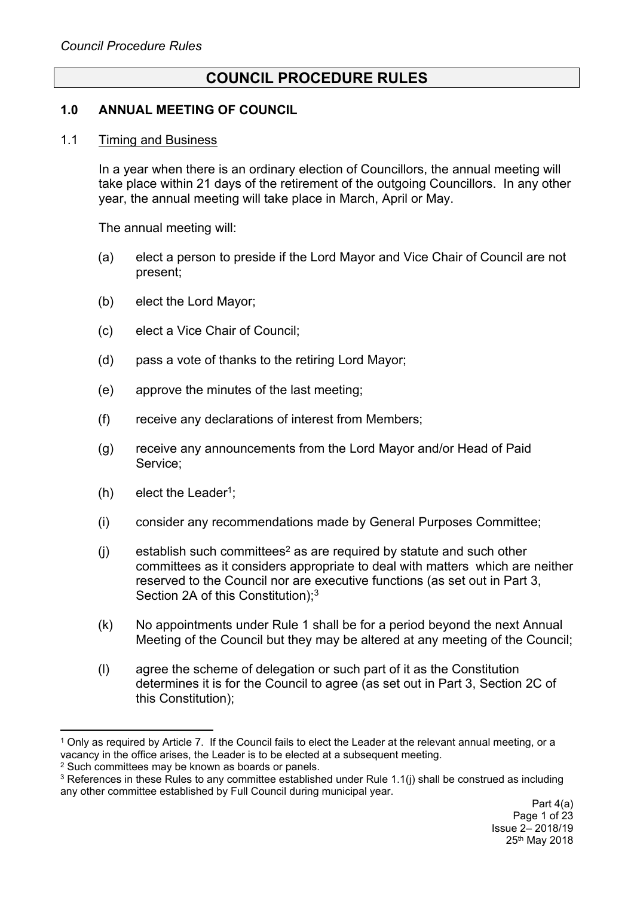# **COUNCIL PROCEDURE RULES**

### **1.0 ANNUAL MEETING OF COUNCIL**

#### 1.1 Timing and Business

In a year when there is an ordinary election of Councillors, the annual meeting will take place within 21 days of the retirement of the outgoing Councillors. In any other year, the annual meeting will take place in March, April or May.

The annual meeting will:

- (a) elect a person to preside if the Lord Mayor and Vice Chair of Council are not present;
- (b) elect the Lord Mayor;
- (c) elect a Vice Chair of Council;
- (d) pass a vote of thanks to the retiring Lord Mayor;
- (e) approve the minutes of the last meeting;
- (f) receive any declarations of interest from Members;
- (g) receive any announcements from the Lord Mayor and/or Head of Paid Service;
- $(h)$  elect the Leader<sup>1</sup>;
- (i) consider any recommendations made by General Purposes Committee;
- $(i)$  establish such committees<sup>2</sup> as are required by statute and such other committees as it considers appropriate to deal with matters which are neither reserved to the Council nor are executive functions (as set out in Part 3, Section 2A of this Constitution);<sup>3</sup>
- (k) No appointments under Rule 1 shall be for a period beyond the next Annual Meeting of the Council but they may be altered at any meeting of the Council;
- (l) agree the scheme of delegation or such part of it as the Constitution determines it is for the Council to agree (as set out in Part 3, Section 2C of this Constitution);

<sup>1</sup> Only as required by Article 7. If the Council fails to elect the Leader at the relevant annual meeting, or a vacancy in the office arises, the Leader is to be elected at a subsequent meeting.

<sup>&</sup>lt;sup>2</sup> Such committees may be known as boards or panels.

<sup>&</sup>lt;sup>3</sup> References in these Rules to any committee established under Rule 1.1(i) shall be construed as including any other committee established by Full Council during municipal year.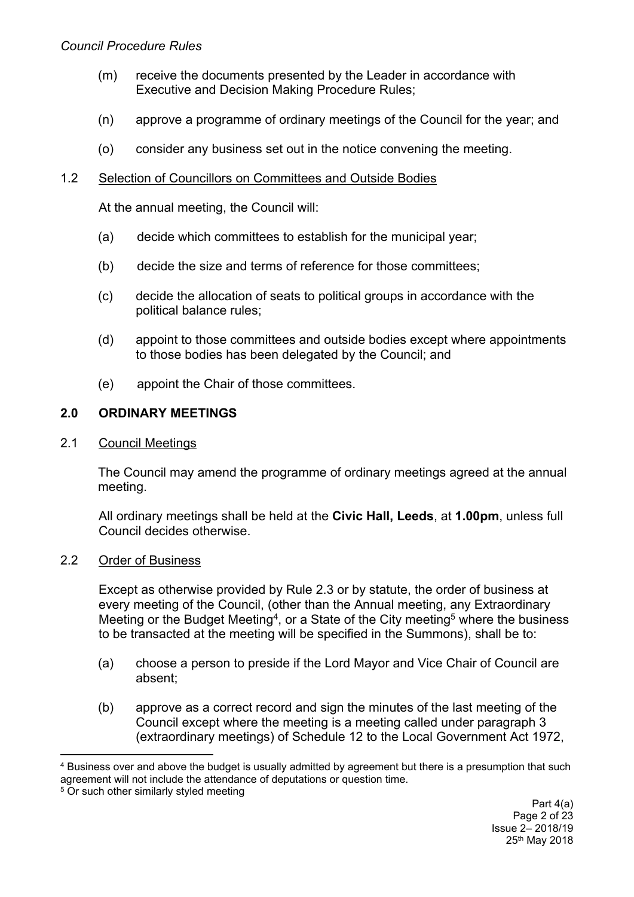### *Council Procedure Rules*

- (m) receive the documents presented by the Leader in accordance with Executive and Decision Making Procedure Rules;
- (n) approve a programme of ordinary meetings of the Council for the year; and
- (o) consider any business set out in the notice convening the meeting.

### 1.2 Selection of Councillors on Committees and Outside Bodies

At the annual meeting, the Council will:

- (a) decide which committees to establish for the municipal year;
- (b) decide the size and terms of reference for those committees;
- (c) decide the allocation of seats to political groups in accordance with the political balance rules;
- (d) appoint to those committees and outside bodies except where appointments to those bodies has been delegated by the Council; and
- (e) appoint the Chair of those committees.

### **2.0 ORDINARY MEETINGS**

### 2.1 Council Meetings

The Council may amend the programme of ordinary meetings agreed at the annual meeting.

All ordinary meetings shall be held at the **Civic Hall, Leeds**, at **1.00pm**, unless full Council decides otherwise.

### 2.2 Order of Business

Except as otherwise provided by Rule 2.3 or by statute, the order of business at every meeting of the Council, (other than the Annual meeting, any Extraordinary Meeting or the Budget Meeting<sup>4</sup>, or a State of the City meeting<sup>5</sup> where the business to be transacted at the meeting will be specified in the Summons), shall be to:

- (a) choose a person to preside if the Lord Mayor and Vice Chair of Council are absent;
- (b) approve as a correct record and sign the minutes of the last meeting of the Council except where the meeting is a meeting called under paragraph 3 (extraordinary meetings) of Schedule 12 to the Local Government Act 1972,

<sup>4</sup> Business over and above the budget is usually admitted by agreement but there is a presumption that such agreement will not include the attendance of deputations or question time.

<sup>&</sup>lt;sup>5</sup> Or such other similarly styled meeting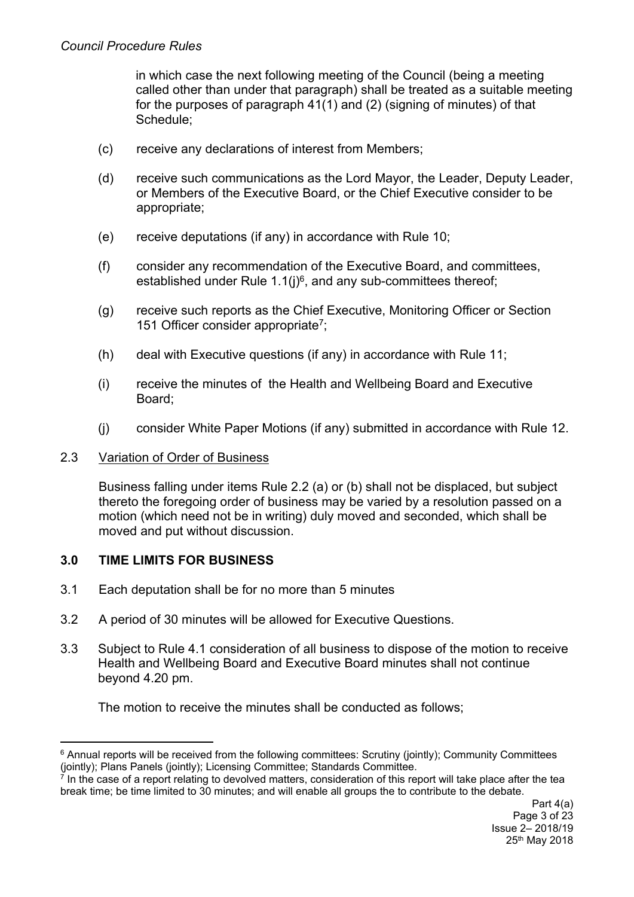in which case the next following meeting of the Council (being a meeting called other than under that paragraph) shall be treated as a suitable meeting for the purposes of paragraph 41(1) and (2) (signing of minutes) of that Schedule;

- (c) receive any declarations of interest from Members;
- (d) receive such communications as the Lord Mayor, the Leader, Deputy Leader, or Members of the Executive Board, or the Chief Executive consider to be appropriate;
- (e) receive deputations (if any) in accordance with Rule 10;
- (f) consider any recommendation of the Executive Board, and committees, established under Rule  $1.1(j)^6$ , and any sub-committees thereof;
- (g) receive such reports as the Chief Executive, Monitoring Officer or Section 151 Officer consider appropriate<sup>7</sup>;
- (h) deal with Executive questions (if any) in accordance with Rule 11;
- (i) receive the minutes of the Health and Wellbeing Board and Executive Board;
- (j) consider White Paper Motions (if any) submitted in accordance with Rule 12.

### 2.3 Variation of Order of Business

Business falling under items Rule 2.2 (a) or (b) shall not be displaced, but subject thereto the foregoing order of business may be varied by a resolution passed on a motion (which need not be in writing) duly moved and seconded, which shall be moved and put without discussion.

## **3.0 TIME LIMITS FOR BUSINESS**

- 3.1 Each deputation shall be for no more than 5 minutes
- 3.2 A period of 30 minutes will be allowed for Executive Questions.
- 3.3 Subject to Rule 4.1 consideration of all business to dispose of the motion to receive Health and Wellbeing Board and Executive Board minutes shall not continue beyond 4.20 pm.

The motion to receive the minutes shall be conducted as follows;

<sup>6</sup> Annual reports will be received from the following committees: Scrutiny (jointly); Community Committees (jointly); Plans Panels (jointly); Licensing Committee; Standards Committee.

<sup>7</sup> In the case of a report relating to devolved matters, consideration of this report will take place after the tea break time; be time limited to 30 minutes; and will enable all groups the to contribute to the debate.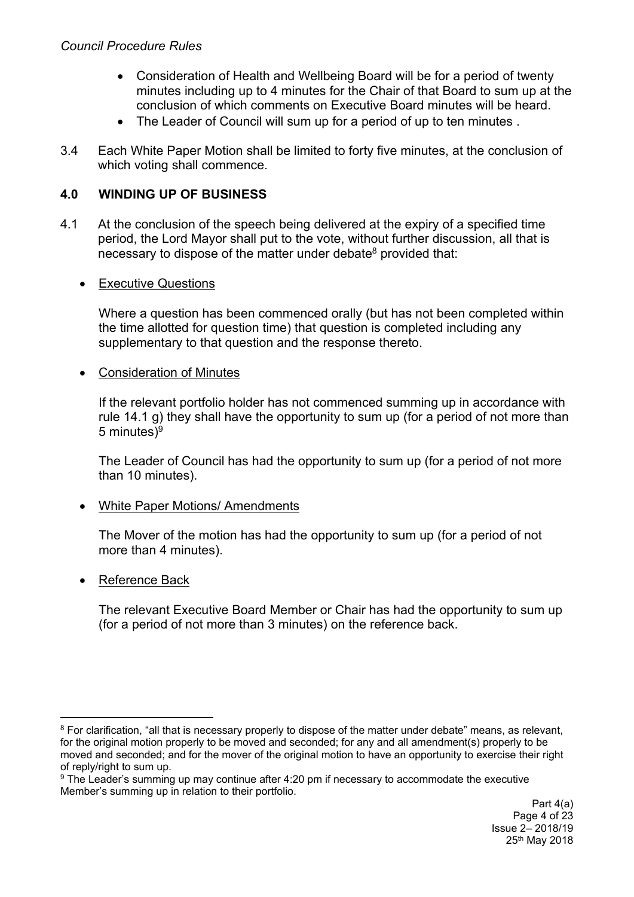- Consideration of Health and Wellbeing Board will be for a period of twenty minutes including up to 4 minutes for the Chair of that Board to sum up at the conclusion of which comments on Executive Board minutes will be heard.
- The Leader of Council will sum up for a period of up to ten minutes.
- 3.4 Each White Paper Motion shall be limited to forty five minutes, at the conclusion of which voting shall commence.

## **4.0 WINDING UP OF BUSINESS**

4.1 At the conclusion of the speech being delivered at the expiry of a specified time period, the Lord Mayor shall put to the vote, without further discussion, all that is necessary to dispose of the matter under debate<sup>8</sup> provided that:

### • Executive Questions

Where a question has been commenced orally (but has not been completed within the time allotted for question time) that question is completed including any supplementary to that question and the response thereto.

### Consideration of Minutes

If the relevant portfolio holder has not commenced summing up in accordance with rule 14.1 g) they shall have the opportunity to sum up (for a period of not more than 5 minutes)<sup>9</sup>

The Leader of Council has had the opportunity to sum up (for a period of not more than 10 minutes).

### • White Paper Motions/ Amendments

The Mover of the motion has had the opportunity to sum up (for a period of not more than 4 minutes).

### • Reference Back

The relevant Executive Board Member or Chair has had the opportunity to sum up (for a period of not more than 3 minutes) on the reference back.

<sup>&</sup>lt;sup>8</sup> For clarification, "all that is necessary properly to dispose of the matter under debate" means, as relevant, for the original motion properly to be moved and seconded; for any and all amendment(s) properly to be moved and seconded; and for the mover of the original motion to have an opportunity to exercise their right of reply/right to sum up.

<sup>9</sup> The Leader's summing up may continue after 4:20 pm if necessary to accommodate the executive Member's summing up in relation to their portfolio.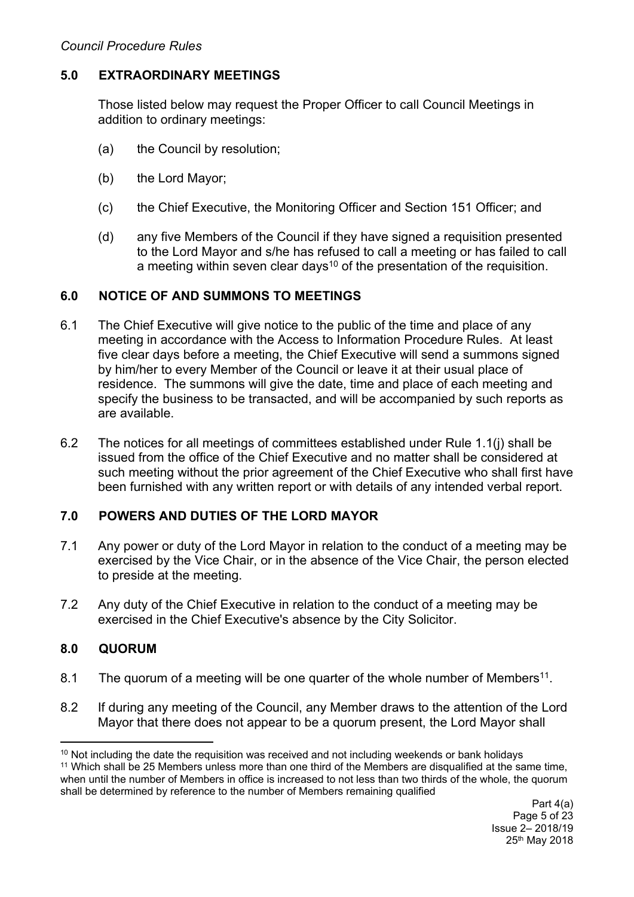### **5.0 EXTRAORDINARY MEETINGS**

Those listed below may request the Proper Officer to call Council Meetings in addition to ordinary meetings:

- (a) the Council by resolution;
- (b) the Lord Mayor;
- (c) the Chief Executive, the Monitoring Officer and Section 151 Officer; and
- (d) any five Members of the Council if they have signed a requisition presented to the Lord Mayor and s/he has refused to call a meeting or has failed to call a meeting within seven clear days<sup>10</sup> of the presentation of the requisition.

### **6.0 NOTICE OF AND SUMMONS TO MEETINGS**

- 6.1 The Chief Executive will give notice to the public of the time and place of any meeting in accordance with the Access to Information Procedure Rules. At least five clear days before a meeting, the Chief Executive will send a summons signed by him/her to every Member of the Council or leave it at their usual place of residence. The summons will give the date, time and place of each meeting and specify the business to be transacted, and will be accompanied by such reports as are available.
- 6.2 The notices for all meetings of committees established under Rule 1.1(j) shall be issued from the office of the Chief Executive and no matter shall be considered at such meeting without the prior agreement of the Chief Executive who shall first have been furnished with any written report or with details of any intended verbal report.

## **7.0 POWERS AND DUTIES OF THE LORD MAYOR**

- 7.1 Any power or duty of the Lord Mayor in relation to the conduct of a meeting may be exercised by the Vice Chair, or in the absence of the Vice Chair, the person elected to preside at the meeting.
- 7.2 Any duty of the Chief Executive in relation to the conduct of a meeting may be exercised in the Chief Executive's absence by the City Solicitor.

## **8.0 QUORUM**

- 8.1 The quorum of a meeting will be one quarter of the whole number of Members<sup>11</sup>.
- 8.2 If during any meeting of the Council, any Member draws to the attention of the Lord Mayor that there does not appear to be a quorum present, the Lord Mayor shall

<sup>&</sup>lt;sup>10</sup> Not including the date the requisition was received and not including weekends or bank holidays

<sup>11</sup> Which shall be 25 Members unless more than one third of the Members are disqualified at the same time, when until the number of Members in office is increased to not less than two thirds of the whole, the quorum shall be determined by reference to the number of Members remaining qualified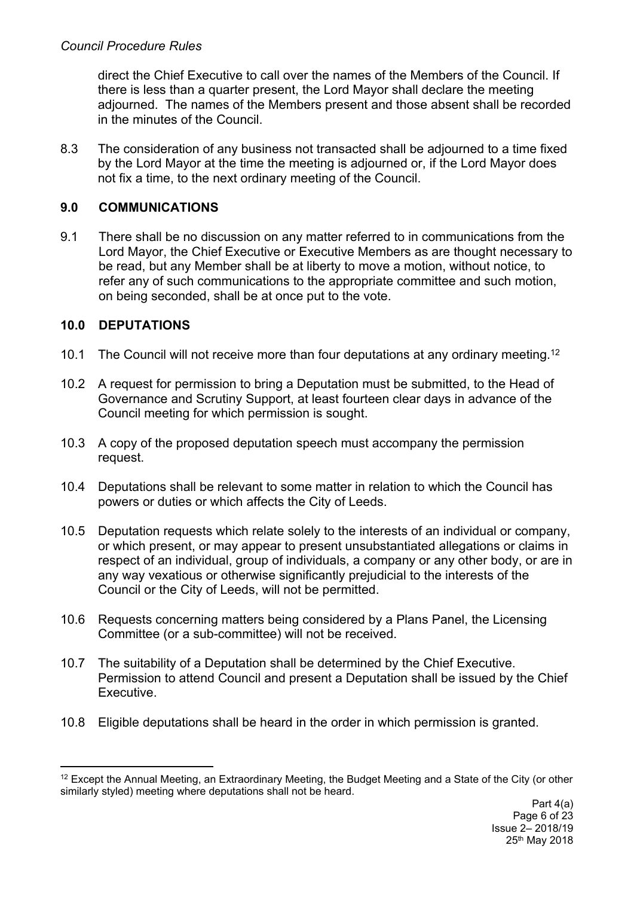direct the Chief Executive to call over the names of the Members of the Council. If there is less than a quarter present, the Lord Mayor shall declare the meeting adjourned. The names of the Members present and those absent shall be recorded in the minutes of the Council.

8.3 The consideration of any business not transacted shall be adjourned to a time fixed by the Lord Mayor at the time the meeting is adjourned or, if the Lord Mayor does not fix a time, to the next ordinary meeting of the Council.

# **9.0 COMMUNICATIONS**

9.1 There shall be no discussion on any matter referred to in communications from the Lord Mayor, the Chief Executive or Executive Members as are thought necessary to be read, but any Member shall be at liberty to move a motion, without notice, to refer any of such communications to the appropriate committee and such motion, on being seconded, shall be at once put to the vote.

# **10.0 DEPUTATIONS**

- 10.1 The Council will not receive more than four deputations at any ordinary meeting.<sup>12</sup>
- 10.2 A request for permission to bring a Deputation must be submitted, to the Head of Governance and Scrutiny Support, at least fourteen clear days in advance of the Council meeting for which permission is sought.
- 10.3 A copy of the proposed deputation speech must accompany the permission request.
- 10.4 Deputations shall be relevant to some matter in relation to which the Council has powers or duties or which affects the City of Leeds.
- 10.5 Deputation requests which relate solely to the interests of an individual or company, or which present, or may appear to present unsubstantiated allegations or claims in respect of an individual, group of individuals, a company or any other body, or are in any way vexatious or otherwise significantly prejudicial to the interests of the Council or the City of Leeds, will not be permitted.
- 10.6 Requests concerning matters being considered by a Plans Panel, the Licensing Committee (or a sub-committee) will not be received.
- 10.7 The suitability of a Deputation shall be determined by the Chief Executive. Permission to attend Council and present a Deputation shall be issued by the Chief Executive.
- 10.8 Eligible deputations shall be heard in the order in which permission is granted.

<sup>12</sup> Except the Annual Meeting, an Extraordinary Meeting, the Budget Meeting and a State of the City (or other similarly styled) meeting where deputations shall not be heard.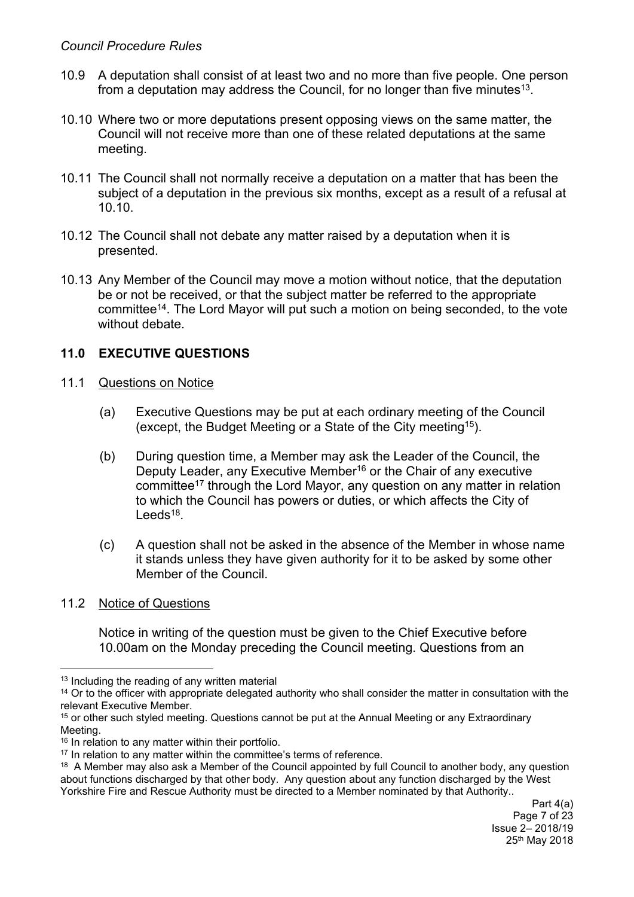- 10.9 A deputation shall consist of at least two and no more than five people. One person from a deputation may address the Council, for no longer than five minutes<sup>13</sup>.
- 10.10 Where two or more deputations present opposing views on the same matter, the Council will not receive more than one of these related deputations at the same meeting.
- 10.11 The Council shall not normally receive a deputation on a matter that has been the subject of a deputation in the previous six months, except as a result of a refusal at 10.10.
- 10.12 The Council shall not debate any matter raised by a deputation when it is presented.
- 10.13 Any Member of the Council may move a motion without notice, that the deputation be or not be received, or that the subject matter be referred to the appropriate committee<sup>14</sup>. The Lord Mayor will put such a motion on being seconded, to the vote without debate

# **11.0 EXECUTIVE QUESTIONS**

- 11.1 Questions on Notice
	- (a) Executive Questions may be put at each ordinary meeting of the Council (except, the Budget Meeting or a State of the City meeting<sup>15</sup>).
	- (b) During question time, a Member may ask the Leader of the Council, the Deputy Leader, any Executive Member<sup>16</sup> or the Chair of any executive committee<sup>17</sup> through the Lord Mayor, any question on any matter in relation to which the Council has powers or duties, or which affects the City of Leeds<sup>18</sup>.
	- (c) A question shall not be asked in the absence of the Member in whose name it stands unless they have given authority for it to be asked by some other Member of the Council.
- 11.2 Notice of Questions

Notice in writing of the question must be given to the Chief Executive before 10.00am on the Monday preceding the Council meeting. Questions from an

<sup>&</sup>lt;sup>13</sup> Including the reading of any written material

<sup>&</sup>lt;sup>14</sup> Or to the officer with appropriate delegated authority who shall consider the matter in consultation with the relevant Executive Member.

<sup>&</sup>lt;sup>15</sup> or other such styled meeting. Questions cannot be put at the Annual Meeting or any Extraordinary Meeting.

<sup>&</sup>lt;sup>16</sup> In relation to any matter within their portfolio.

<sup>&</sup>lt;sup>17</sup> In relation to any matter within the committee's terms of reference.

<sup>&</sup>lt;sup>18</sup> A Member may also ask a Member of the Council appointed by full Council to another body, any question about functions discharged by that other body. Any question about any function discharged by the West Yorkshire Fire and Rescue Authority must be directed to a Member nominated by that Authority..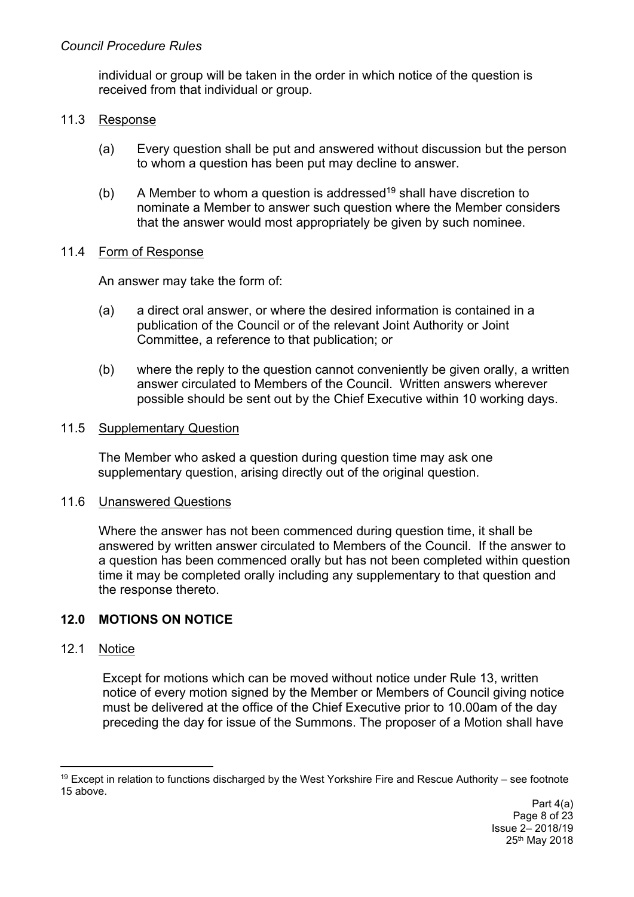individual or group will be taken in the order in which notice of the question is received from that individual or group.

### 11.3 Response

- (a) Every question shall be put and answered without discussion but the person to whom a question has been put may decline to answer.
- (b) A Member to whom a question is addressed<sup>19</sup> shall have discretion to nominate a Member to answer such question where the Member considers that the answer would most appropriately be given by such nominee.

## 11.4 Form of Response

An answer may take the form of:

- (a) a direct oral answer, or where the desired information is contained in a publication of the Council or of the relevant Joint Authority or Joint Committee, a reference to that publication; or
- (b) where the reply to the question cannot conveniently be given orally, a written answer circulated to Members of the Council. Written answers wherever possible should be sent out by the Chief Executive within 10 working days.

### 11.5 Supplementary Question

The Member who asked a question during question time may ask one supplementary question, arising directly out of the original question.

### 11.6 Unanswered Questions

Where the answer has not been commenced during question time, it shall be answered by written answer circulated to Members of the Council. If the answer to a question has been commenced orally but has not been completed within question time it may be completed orally including any supplementary to that question and the response thereto.

## **12.0 MOTIONS ON NOTICE**

## 12.1 Notice

Except for motions which can be moved without notice under Rule 13, written notice of every motion signed by the Member or Members of Council giving notice must be delivered at the office of the Chief Executive prior to 10.00am of the day preceding the day for issue of the Summons. The proposer of a Motion shall have

<sup>19</sup> Except in relation to functions discharged by the West Yorkshire Fire and Rescue Authority – see footnote 15 above.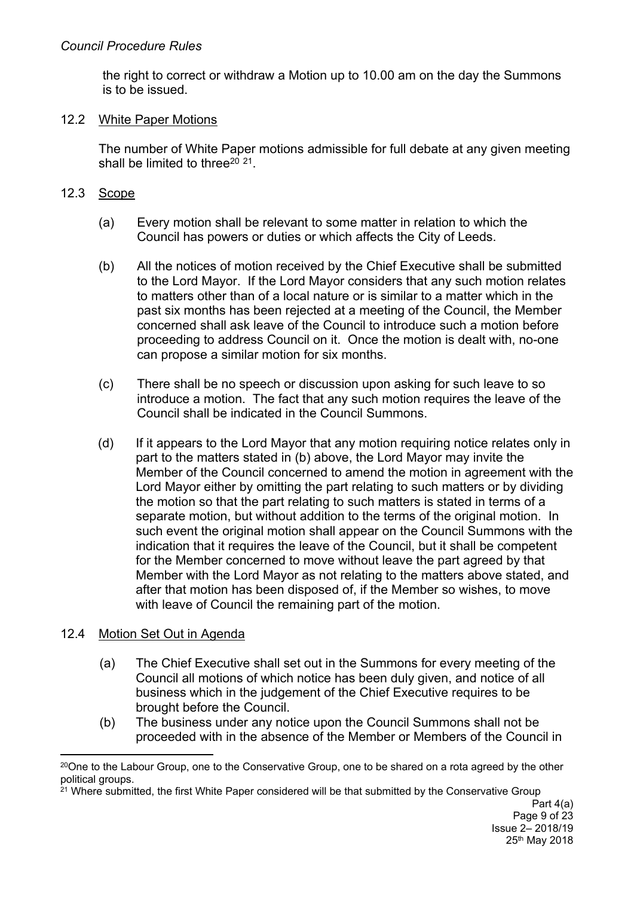the right to correct or withdraw a Motion up to 10.00 am on the day the Summons is to be issued.

## 12.2 White Paper Motions

The number of White Paper motions admissible for full debate at any given meeting shall be limited to three<sup>20 21</sup>.

# 12.3 Scope

- (a) Every motion shall be relevant to some matter in relation to which the Council has powers or duties or which affects the City of Leeds.
- (b) All the notices of motion received by the Chief Executive shall be submitted to the Lord Mayor. If the Lord Mayor considers that any such motion relates to matters other than of a local nature or is similar to a matter which in the past six months has been rejected at a meeting of the Council, the Member concerned shall ask leave of the Council to introduce such a motion before proceeding to address Council on it. Once the motion is dealt with, no-one can propose a similar motion for six months.
- (c) There shall be no speech or discussion upon asking for such leave to so introduce a motion. The fact that any such motion requires the leave of the Council shall be indicated in the Council Summons.
- (d) If it appears to the Lord Mayor that any motion requiring notice relates only in part to the matters stated in (b) above, the Lord Mayor may invite the Member of the Council concerned to amend the motion in agreement with the Lord Mayor either by omitting the part relating to such matters or by dividing the motion so that the part relating to such matters is stated in terms of a separate motion, but without addition to the terms of the original motion. In such event the original motion shall appear on the Council Summons with the indication that it requires the leave of the Council, but it shall be competent for the Member concerned to move without leave the part agreed by that Member with the Lord Mayor as not relating to the matters above stated, and after that motion has been disposed of, if the Member so wishes, to move with leave of Council the remaining part of the motion.

# 12.4 Motion Set Out in Agenda

- (a) The Chief Executive shall set out in the Summons for every meeting of the Council all motions of which notice has been duly given, and notice of all business which in the judgement of the Chief Executive requires to be brought before the Council.
- (b) The business under any notice upon the Council Summons shall not be proceeded with in the absence of the Member or Members of the Council in

 $20$ One to the Labour Group, one to the Conservative Group, one to be shared on a rota agreed by the other political groups.

<sup>&</sup>lt;sup>21</sup> Where submitted, the first White Paper considered will be that submitted by the Conservative Group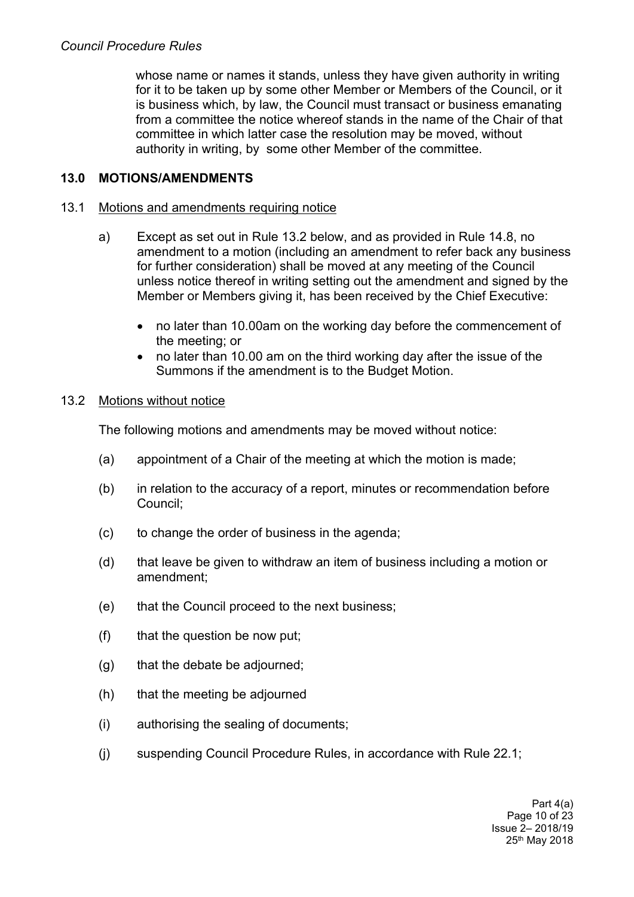whose name or names it stands, unless they have given authority in writing for it to be taken up by some other Member or Members of the Council, or it is business which, by law, the Council must transact or business emanating from a committee the notice whereof stands in the name of the Chair of that committee in which latter case the resolution may be moved, without authority in writing, by some other Member of the committee.

## **13.0 MOTIONS/AMENDMENTS**

### 13.1 Motions and amendments requiring notice

- a) Except as set out in Rule 13.2 below, and as provided in Rule 14.8, no amendment to a motion (including an amendment to refer back any business for further consideration) shall be moved at any meeting of the Council unless notice thereof in writing setting out the amendment and signed by the Member or Members giving it, has been received by the Chief Executive:
	- no later than 10.00am on the working day before the commencement of the meeting; or
	- no later than 10.00 am on the third working day after the issue of the Summons if the amendment is to the Budget Motion.

### 13.2 Motions without notice

The following motions and amendments may be moved without notice:

- (a) appointment of a Chair of the meeting at which the motion is made;
- (b) in relation to the accuracy of a report, minutes or recommendation before Council;
- (c) to change the order of business in the agenda;
- (d) that leave be given to withdraw an item of business including a motion or amendment;
- (e) that the Council proceed to the next business;
- (f) that the question be now put;
- (g) that the debate be adjourned;
- (h) that the meeting be adjourned
- (i) authorising the sealing of documents;
- (j) suspending Council Procedure Rules, in accordance with Rule 22.1;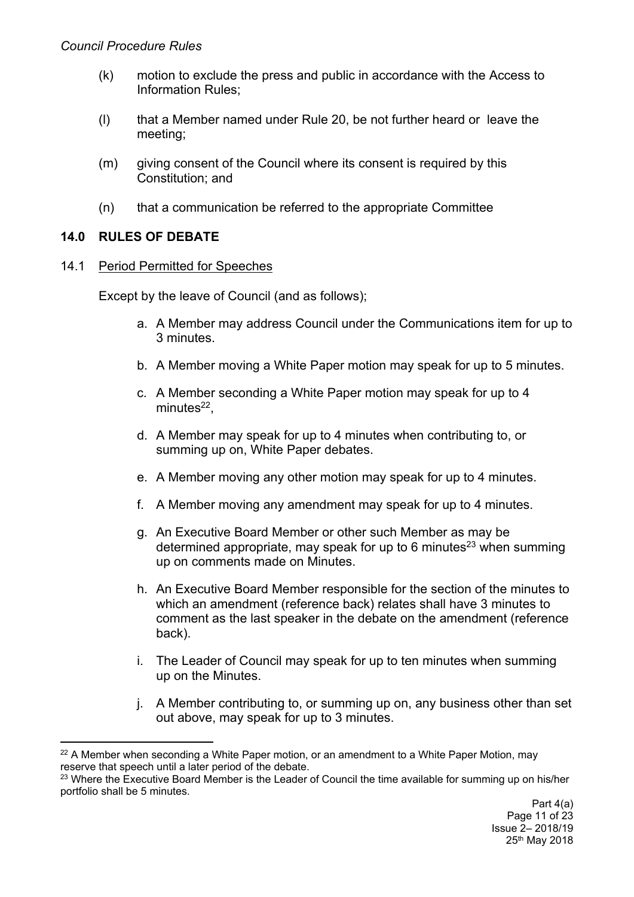- (k) motion to exclude the press and public in accordance with the Access to Information Rules;
- (l) that a Member named under Rule 20, be not further heard or leave the meeting;
- (m) giving consent of the Council where its consent is required by this Constitution; and
- (n) that a communication be referred to the appropriate Committee

## **14.0 RULES OF DEBATE**

### 14.1 Period Permitted for Speeches

Except by the leave of Council (and as follows);

- a. A Member may address Council under the Communications item for up to 3 minutes.
- b. A Member moving a White Paper motion may speak for up to 5 minutes.
- c. A Member seconding a White Paper motion may speak for up to 4 minutes<sup>22</sup>,
- d. A Member may speak for up to 4 minutes when contributing to, or summing up on, White Paper debates.
- e. A Member moving any other motion may speak for up to 4 minutes.
- f. A Member moving any amendment may speak for up to 4 minutes.
- g. An Executive Board Member or other such Member as may be determined appropriate, may speak for up to 6 minutes<sup>23</sup> when summing up on comments made on Minutes.
- h. An Executive Board Member responsible for the section of the minutes to which an amendment (reference back) relates shall have 3 minutes to comment as the last speaker in the debate on the amendment (reference back).
- i. The Leader of Council may speak for up to ten minutes when summing up on the Minutes.
- j. A Member contributing to, or summing up on, any business other than set out above, may speak for up to 3 minutes.

 $22$  A Member when seconding a White Paper motion, or an amendment to a White Paper Motion, may reserve that speech until a later period of the debate.

<sup>&</sup>lt;sup>23</sup> Where the Executive Board Member is the Leader of Council the time available for summing up on his/her portfolio shall be 5 minutes.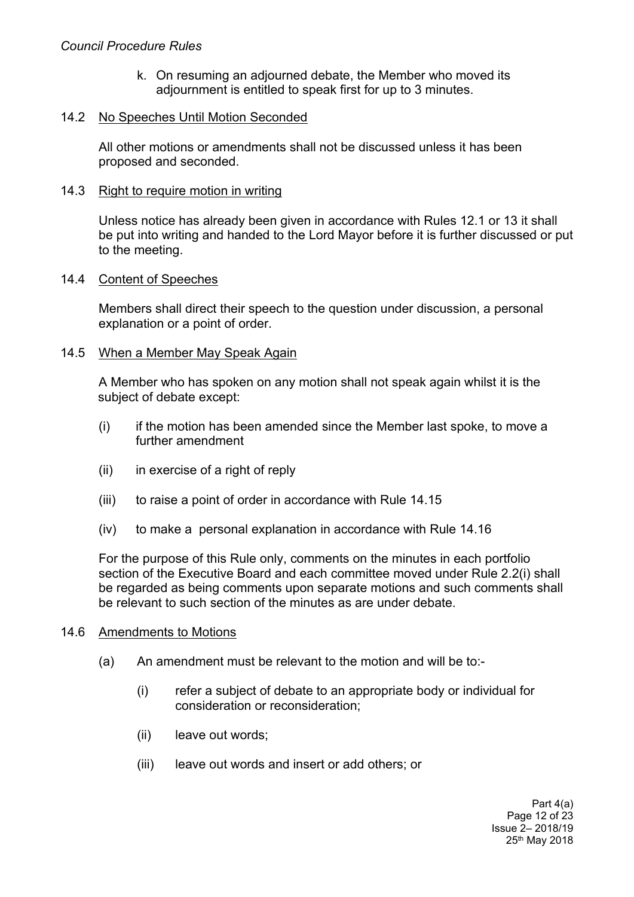#### *Council Procedure Rules*

k. On resuming an adjourned debate, the Member who moved its adjournment is entitled to speak first for up to 3 minutes.

#### 14.2 No Speeches Until Motion Seconded

All other motions or amendments shall not be discussed unless it has been proposed and seconded.

#### 14.3 Right to require motion in writing

Unless notice has already been given in accordance with Rules 12.1 or 13 it shall be put into writing and handed to the Lord Mayor before it is further discussed or put to the meeting.

#### 14.4 Content of Speeches

Members shall direct their speech to the question under discussion, a personal explanation or a point of order.

#### 14.5 When a Member May Speak Again

A Member who has spoken on any motion shall not speak again whilst it is the subject of debate except:

- (i) if the motion has been amended since the Member last spoke, to move a further amendment
- (ii) in exercise of a right of reply
- (iii) to raise a point of order in accordance with Rule 14.15
- (iv) to make a personal explanation in accordance with Rule 14.16

For the purpose of this Rule only, comments on the minutes in each portfolio section of the Executive Board and each committee moved under Rule 2.2(i) shall be regarded as being comments upon separate motions and such comments shall be relevant to such section of the minutes as are under debate.

#### 14.6 Amendments to Motions

- (a) An amendment must be relevant to the motion and will be to:-
	- (i) refer a subject of debate to an appropriate body or individual for consideration or reconsideration;
	- (ii) leave out words;
	- (iii) leave out words and insert or add others; or

Part 4(a) Page 12 of 23 Issue 2– 2018/19 25th May 2018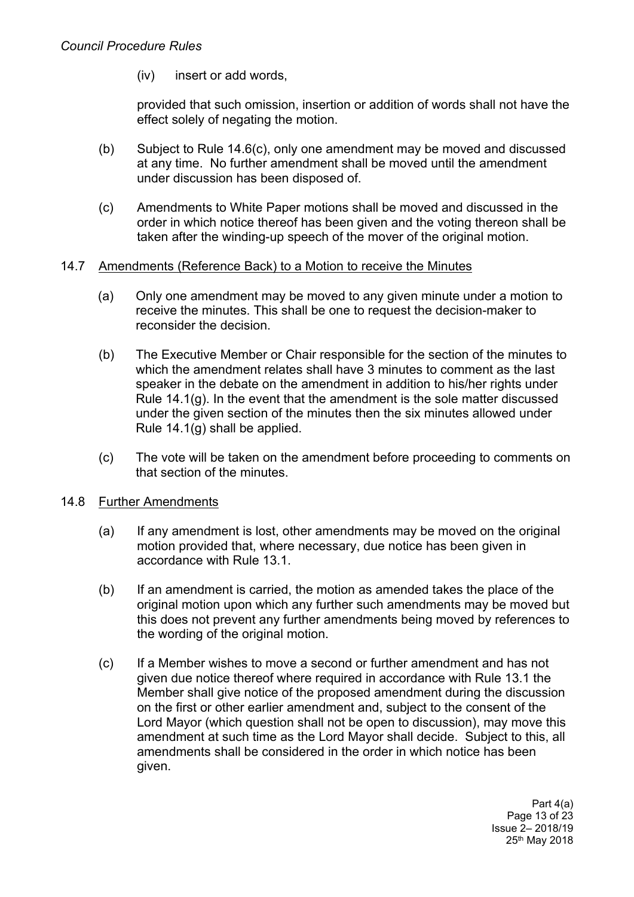(iv) insert or add words,

provided that such omission, insertion or addition of words shall not have the effect solely of negating the motion.

- (b) Subject to Rule 14.6(c), only one amendment may be moved and discussed at any time. No further amendment shall be moved until the amendment under discussion has been disposed of.
- (c) Amendments to White Paper motions shall be moved and discussed in the order in which notice thereof has been given and the voting thereon shall be taken after the winding-up speech of the mover of the original motion.

### 14.7 Amendments (Reference Back) to a Motion to receive the Minutes

- (a) Only one amendment may be moved to any given minute under a motion to receive the minutes. This shall be one to request the decision-maker to reconsider the decision.
- (b) The Executive Member or Chair responsible for the section of the minutes to which the amendment relates shall have 3 minutes to comment as the last speaker in the debate on the amendment in addition to his/her rights under Rule 14.1(g). In the event that the amendment is the sole matter discussed under the given section of the minutes then the six minutes allowed under Rule 14.1(g) shall be applied.
- (c) The vote will be taken on the amendment before proceeding to comments on that section of the minutes.

### 14.8 Further Amendments

- (a) If any amendment is lost, other amendments may be moved on the original motion provided that, where necessary, due notice has been given in accordance with Rule 13.1.
- (b) If an amendment is carried, the motion as amended takes the place of the original motion upon which any further such amendments may be moved but this does not prevent any further amendments being moved by references to the wording of the original motion.
- (c) If a Member wishes to move a second or further amendment and has not given due notice thereof where required in accordance with Rule 13.1 the Member shall give notice of the proposed amendment during the discussion on the first or other earlier amendment and, subject to the consent of the Lord Mayor (which question shall not be open to discussion), may move this amendment at such time as the Lord Mayor shall decide. Subject to this, all amendments shall be considered in the order in which notice has been given.

Part 4(a) Page 13 of 23 Issue 2– 2018/19 25th May 2018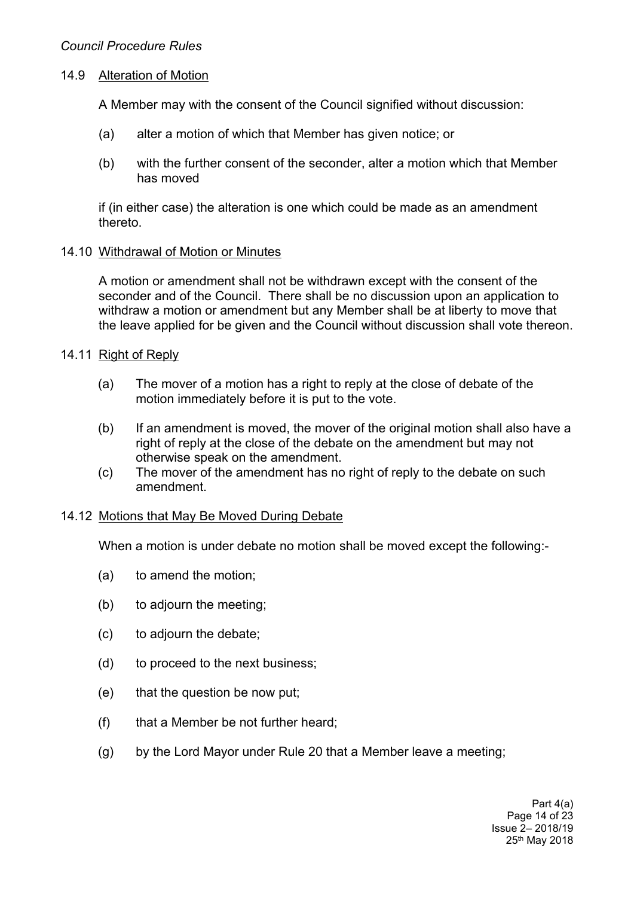### 14.9 Alteration of Motion

A Member may with the consent of the Council signified without discussion:

- (a) alter a motion of which that Member has given notice; or
- (b) with the further consent of the seconder, alter a motion which that Member has moved

if (in either case) the alteration is one which could be made as an amendment thereto.

#### 14.10 Withdrawal of Motion or Minutes

A motion or amendment shall not be withdrawn except with the consent of the seconder and of the Council. There shall be no discussion upon an application to withdraw a motion or amendment but any Member shall be at liberty to move that the leave applied for be given and the Council without discussion shall vote thereon.

### 14.11 Right of Reply

- (a) The mover of a motion has a right to reply at the close of debate of the motion immediately before it is put to the vote.
- (b) If an amendment is moved, the mover of the original motion shall also have a right of reply at the close of the debate on the amendment but may not otherwise speak on the amendment.
- (c) The mover of the amendment has no right of reply to the debate on such amendment.

### 14.12 Motions that May Be Moved During Debate

When a motion is under debate no motion shall be moved except the following:-

- (a) to amend the motion;
- (b) to adjourn the meeting;
- (c) to adjourn the debate;
- (d) to proceed to the next business;
- (e) that the question be now put;
- (f) that a Member be not further heard;
- (g) by the Lord Mayor under Rule 20 that a Member leave a meeting;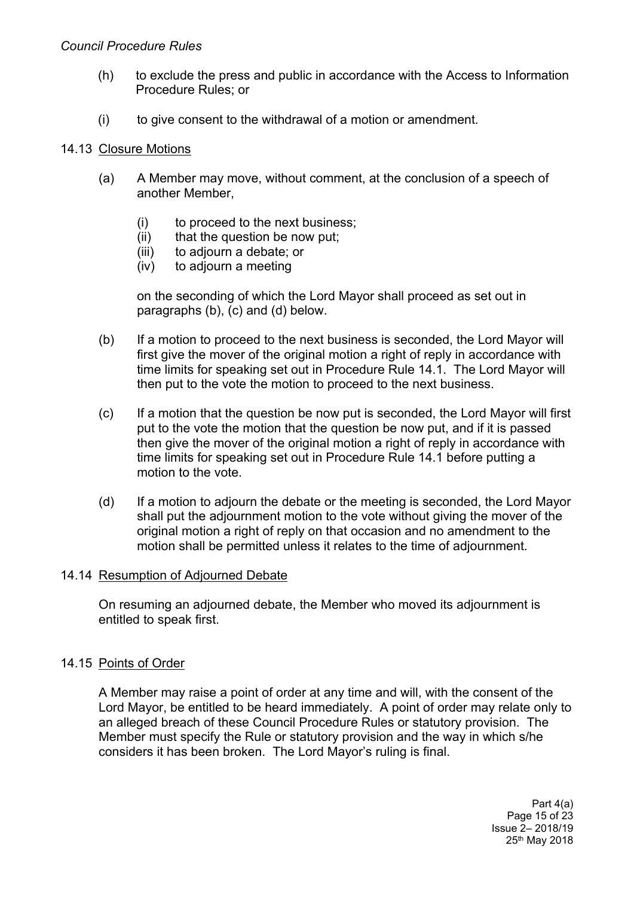#### *Council Procedure Rules*

- (h) to exclude the press and public in accordance with the Access to Information Procedure Rules; or
- (i) to give consent to the withdrawal of a motion or amendment.

#### 14.13 Closure Motions

- (a) A Member may move, without comment, at the conclusion of a speech of another Member,
	- (i) to proceed to the next business;
	- (ii) that the question be now put;
	- (iii) to adjourn a debate; or
	- (iv) to adjourn a meeting

on the seconding of which the Lord Mayor shall proceed as set out in paragraphs (b), (c) and (d) below.

- (b) If a motion to proceed to the next business is seconded, the Lord Mayor will first give the mover of the original motion a right of reply in accordance with time limits for speaking set out in Procedure Rule 14.1. The Lord Mayor will then put to the vote the motion to proceed to the next business.
- (c) If a motion that the question be now put is seconded, the Lord Mayor will first put to the vote the motion that the question be now put, and if it is passed then give the mover of the original motion a right of reply in accordance with time limits for speaking set out in Procedure Rule 14.1 before putting a motion to the vote.
- (d) If a motion to adjourn the debate or the meeting is seconded, the Lord Mayor shall put the adjournment motion to the vote without giving the mover of the original motion a right of reply on that occasion and no amendment to the motion shall be permitted unless it relates to the time of adjournment.

#### 14.14 Resumption of Adjourned Debate

On resuming an adjourned debate, the Member who moved its adjournment is entitled to speak first.

### 14.15 Points of Order

A Member may raise a point of order at any time and will, with the consent of the Lord Mayor, be entitled to be heard immediately. A point of order may relate only to an alleged breach of these Council Procedure Rules or statutory provision. The Member must specify the Rule or statutory provision and the way in which s/he considers it has been broken. The Lord Mayor's ruling is final.

> Part 4(a) Page 15 of 23 Issue 2– 2018/19 25th May 2018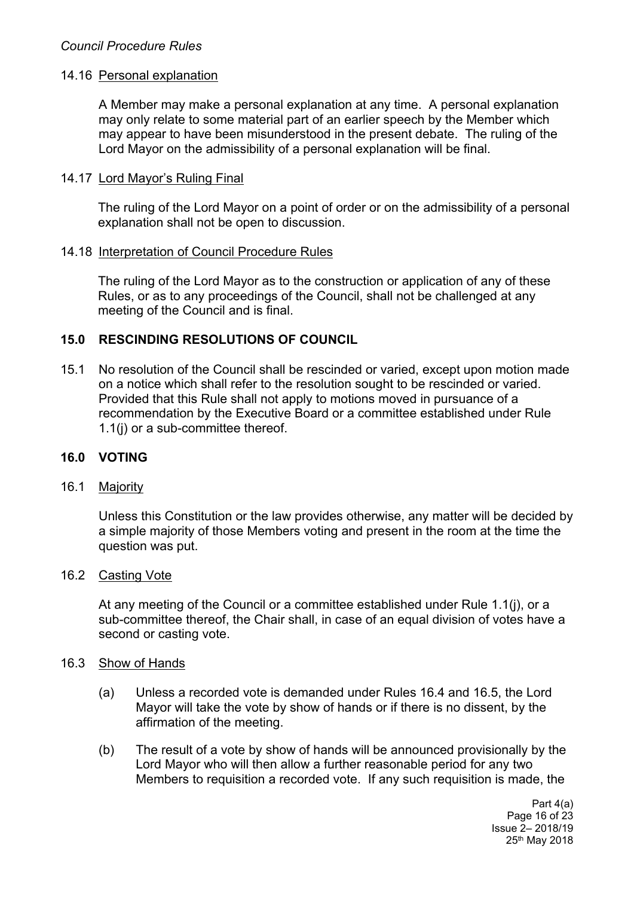### 14.16 Personal explanation

A Member may make a personal explanation at any time. A personal explanation may only relate to some material part of an earlier speech by the Member which may appear to have been misunderstood in the present debate. The ruling of the Lord Mayor on the admissibility of a personal explanation will be final.

#### 14.17 Lord Mayor's Ruling Final

The ruling of the Lord Mayor on a point of order or on the admissibility of a personal explanation shall not be open to discussion.

#### 14.18 Interpretation of Council Procedure Rules

The ruling of the Lord Mayor as to the construction or application of any of these Rules, or as to any proceedings of the Council, shall not be challenged at any meeting of the Council and is final.

### **15.0 RESCINDING RESOLUTIONS OF COUNCIL**

15.1 No resolution of the Council shall be rescinded or varied, except upon motion made on a notice which shall refer to the resolution sought to be rescinded or varied. Provided that this Rule shall not apply to motions moved in pursuance of a recommendation by the Executive Board or a committee established under Rule 1.1(j) or a sub-committee thereof.

### **16.0 VOTING**

#### 16.1 Majority

Unless this Constitution or the law provides otherwise, any matter will be decided by a simple majority of those Members voting and present in the room at the time the question was put.

#### 16.2 Casting Vote

At any meeting of the Council or a committee established under Rule 1.1(j), or a sub-committee thereof, the Chair shall, in case of an equal division of votes have a second or casting vote.

#### 16.3 Show of Hands

- (a) Unless a recorded vote is demanded under Rules 16.4 and 16.5, the Lord Mayor will take the vote by show of hands or if there is no dissent, by the affirmation of the meeting.
- (b) The result of a vote by show of hands will be announced provisionally by the Lord Mayor who will then allow a further reasonable period for any two Members to requisition a recorded vote. If any such requisition is made, the

Part 4(a) Page 16 of 23 Issue 2– 2018/19 25th May 2018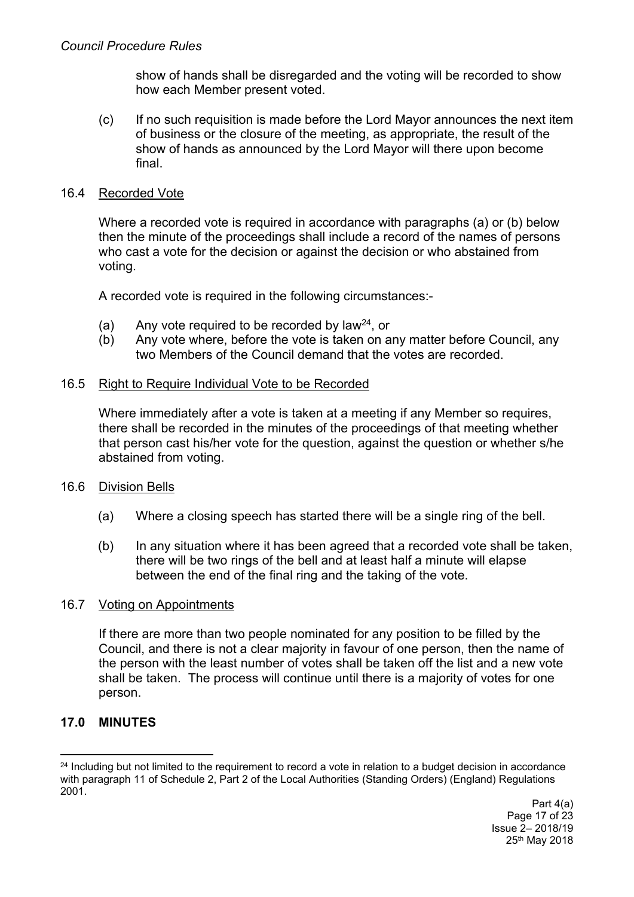show of hands shall be disregarded and the voting will be recorded to show how each Member present voted.

(c) If no such requisition is made before the Lord Mayor announces the next item of business or the closure of the meeting, as appropriate, the result of the show of hands as announced by the Lord Mayor will there upon become final.

#### 16.4 Recorded Vote

Where a recorded vote is required in accordance with paragraphs (a) or (b) below then the minute of the proceedings shall include a record of the names of persons who cast a vote for the decision or against the decision or who abstained from voting.

A recorded vote is required in the following circumstances:-

- (a) Any vote required to be recorded by law<sup>24</sup>, or
- (b) Any vote where, before the vote is taken on any matter before Council, any two Members of the Council demand that the votes are recorded.

#### 16.5 Right to Require Individual Vote to be Recorded

Where immediately after a vote is taken at a meeting if any Member so requires, there shall be recorded in the minutes of the proceedings of that meeting whether that person cast his/her vote for the question, against the question or whether s/he abstained from voting.

### 16.6 Division Bells

- (a) Where a closing speech has started there will be a single ring of the bell.
- (b) In any situation where it has been agreed that a recorded vote shall be taken, there will be two rings of the bell and at least half a minute will elapse between the end of the final ring and the taking of the vote.

#### 16.7 Voting on Appointments

If there are more than two people nominated for any position to be filled by the Council, and there is not a clear majority in favour of one person, then the name of the person with the least number of votes shall be taken off the list and a new vote shall be taken. The process will continue until there is a majority of votes for one person.

### **17.0 MINUTES**

<sup>&</sup>lt;sup>24</sup> Including but not limited to the requirement to record a vote in relation to a budget decision in accordance with paragraph 11 of Schedule 2, Part 2 of the Local Authorities (Standing Orders) (England) Regulations 2001.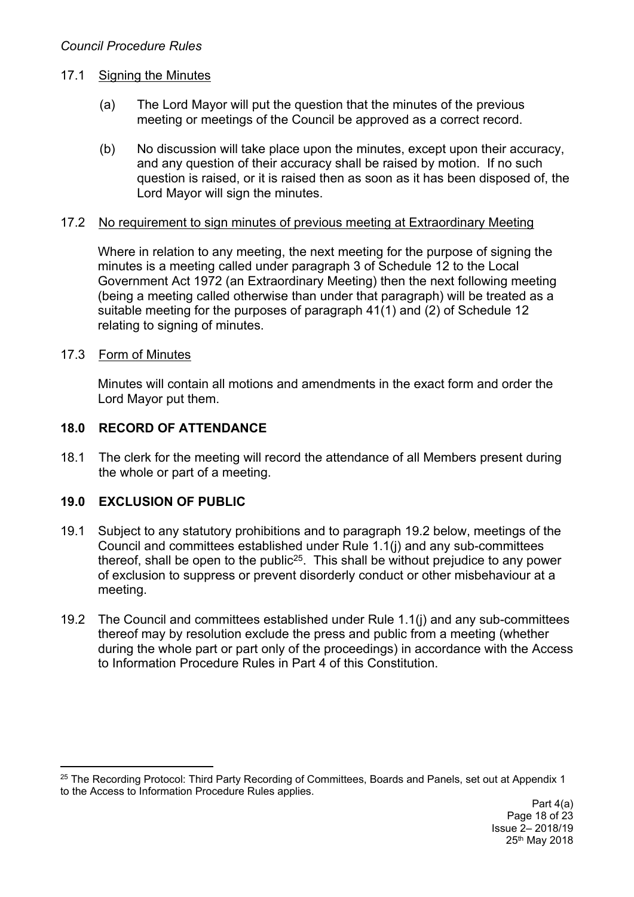## 17.1 Signing the Minutes

- (a) The Lord Mayor will put the question that the minutes of the previous meeting or meetings of the Council be approved as a correct record.
- (b) No discussion will take place upon the minutes, except upon their accuracy, and any question of their accuracy shall be raised by motion. If no such question is raised, or it is raised then as soon as it has been disposed of, the Lord Mayor will sign the minutes.

## 17.2 No requirement to sign minutes of previous meeting at Extraordinary Meeting

Where in relation to any meeting, the next meeting for the purpose of signing the minutes is a meeting called under paragraph 3 of Schedule 12 to the Local Government Act 1972 (an Extraordinary Meeting) then the next following meeting (being a meeting called otherwise than under that paragraph) will be treated as a suitable meeting for the purposes of paragraph 41(1) and (2) of Schedule 12 relating to signing of minutes.

## 17.3 Form of Minutes

Minutes will contain all motions and amendments in the exact form and order the Lord Mayor put them.

# **18.0 RECORD OF ATTENDANCE**

18.1 The clerk for the meeting will record the attendance of all Members present during the whole or part of a meeting.

## **19.0 EXCLUSION OF PUBLIC**

- 19.1 Subject to any statutory prohibitions and to paragraph 19.2 below, meetings of the Council and committees established under Rule 1.1(j) and any sub-committees thereof, shall be open to the public<sup>25</sup>. This shall be without prejudice to any power of exclusion to suppress or prevent disorderly conduct or other misbehaviour at a meeting.
- 19.2 The Council and committees established under Rule 1.1(j) and any sub-committees thereof may by resolution exclude the press and public from a meeting (whether during the whole part or part only of the proceedings) in accordance with the Access to Information Procedure Rules in Part 4 of this Constitution.

<sup>&</sup>lt;sup>25</sup> The Recording Protocol: Third Party Recording of Committees, Boards and Panels, set out at Appendix 1 to the Access to Information Procedure Rules applies.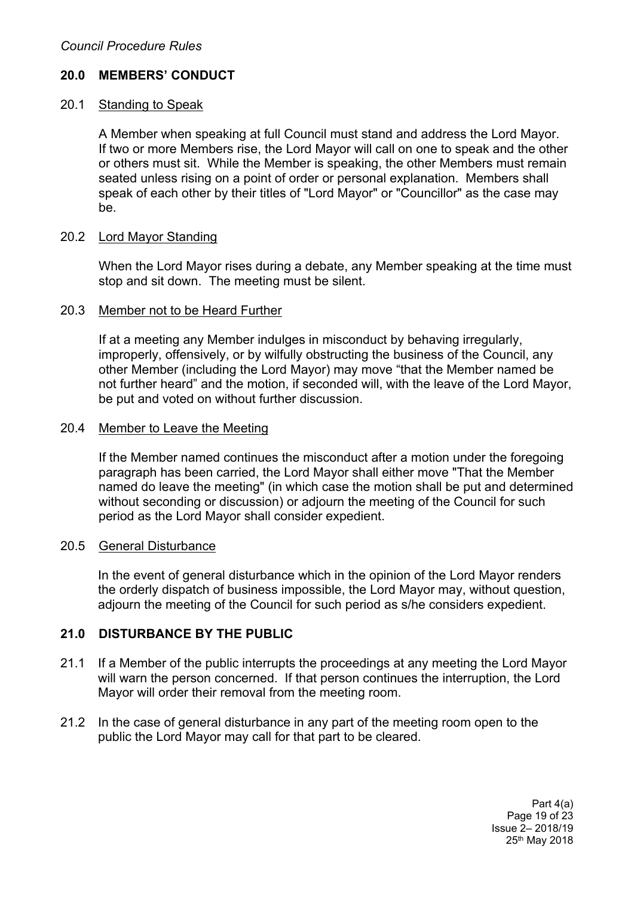## **20.0 MEMBERS' CONDUCT**

### 20.1 Standing to Speak

A Member when speaking at full Council must stand and address the Lord Mayor. If two or more Members rise, the Lord Mayor will call on one to speak and the other or others must sit. While the Member is speaking, the other Members must remain seated unless rising on a point of order or personal explanation. Members shall speak of each other by their titles of "Lord Mayor" or "Councillor" as the case may be.

### 20.2 Lord Mayor Standing

When the Lord Mayor rises during a debate, any Member speaking at the time must stop and sit down. The meeting must be silent.

#### 20.3 Member not to be Heard Further

If at a meeting any Member indulges in misconduct by behaving irregularly, improperly, offensively, or by wilfully obstructing the business of the Council, any other Member (including the Lord Mayor) may move "that the Member named be not further heard" and the motion, if seconded will, with the leave of the Lord Mayor, be put and voted on without further discussion.

### 20.4 Member to Leave the Meeting

If the Member named continues the misconduct after a motion under the foregoing paragraph has been carried, the Lord Mayor shall either move "That the Member named do leave the meeting" (in which case the motion shall be put and determined without seconding or discussion) or adjourn the meeting of the Council for such period as the Lord Mayor shall consider expedient.

#### 20.5 General Disturbance

In the event of general disturbance which in the opinion of the Lord Mayor renders the orderly dispatch of business impossible, the Lord Mayor may, without question, adjourn the meeting of the Council for such period as s/he considers expedient.

### **21.0 DISTURBANCE BY THE PUBLIC**

- 21.1 If a Member of the public interrupts the proceedings at any meeting the Lord Mayor will warn the person concerned. If that person continues the interruption, the Lord Mayor will order their removal from the meeting room.
- 21.2 In the case of general disturbance in any part of the meeting room open to the public the Lord Mayor may call for that part to be cleared.

Part 4(a) Page 19 of 23 Issue 2– 2018/19 25th May 2018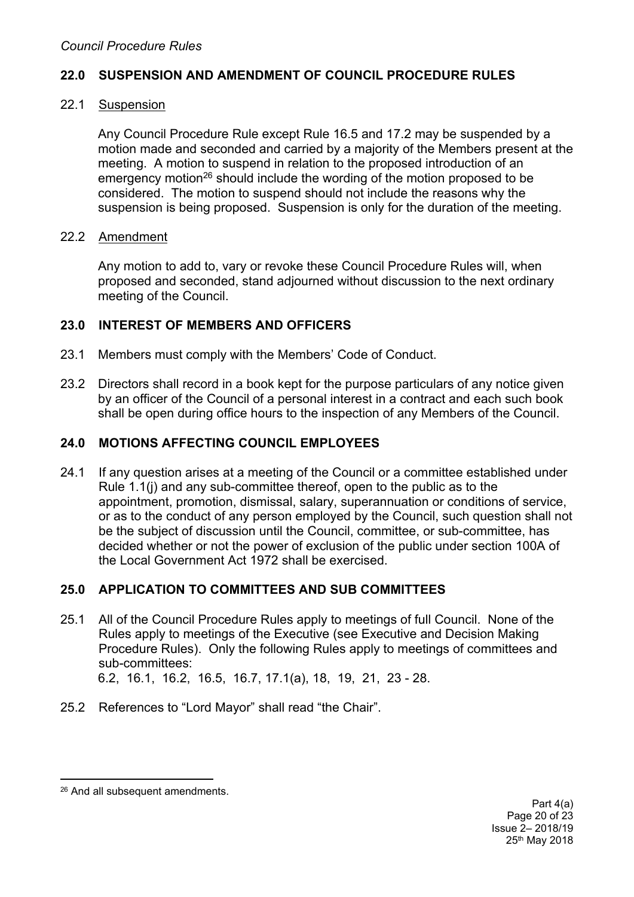### **22.0 SUSPENSION AND AMENDMENT OF COUNCIL PROCEDURE RULES**

### 22.1 Suspension

Any Council Procedure Rule except Rule 16.5 and 17.2 may be suspended by a motion made and seconded and carried by a majority of the Members present at the meeting. A motion to suspend in relation to the proposed introduction of an emergency motion<sup>26</sup> should include the wording of the motion proposed to be considered. The motion to suspend should not include the reasons why the suspension is being proposed. Suspension is only for the duration of the meeting.

### 22.2 Amendment

Any motion to add to, vary or revoke these Council Procedure Rules will, when proposed and seconded, stand adjourned without discussion to the next ordinary meeting of the Council.

### **23.0 INTEREST OF MEMBERS AND OFFICERS**

- 23.1 Members must comply with the Members' Code of Conduct.
- 23.2 Directors shall record in a book kept for the purpose particulars of any notice given by an officer of the Council of a personal interest in a contract and each such book shall be open during office hours to the inspection of any Members of the Council.

### **24.0 MOTIONS AFFECTING COUNCIL EMPLOYEES**

24.1 If any question arises at a meeting of the Council or a committee established under Rule 1.1(j) and any sub-committee thereof, open to the public as to the appointment, promotion, dismissal, salary, superannuation or conditions of service, or as to the conduct of any person employed by the Council, such question shall not be the subject of discussion until the Council, committee, or sub-committee, has decided whether or not the power of exclusion of the public under section 100A of the Local Government Act 1972 shall be exercised.

### **25.0 APPLICATION TO COMMITTEES AND SUB COMMITTEES**

25.1 All of the Council Procedure Rules apply to meetings of full Council. None of the Rules apply to meetings of the Executive (see Executive and Decision Making Procedure Rules). Only the following Rules apply to meetings of committees and sub-committees:

6.2, 16.1, 16.2, 16.5, 16.7, 17.1(a), 18, 19, 21, 23 - 28.

25.2 References to "Lord Mayor" shall read "the Chair".

<sup>26</sup> And all subsequent amendments.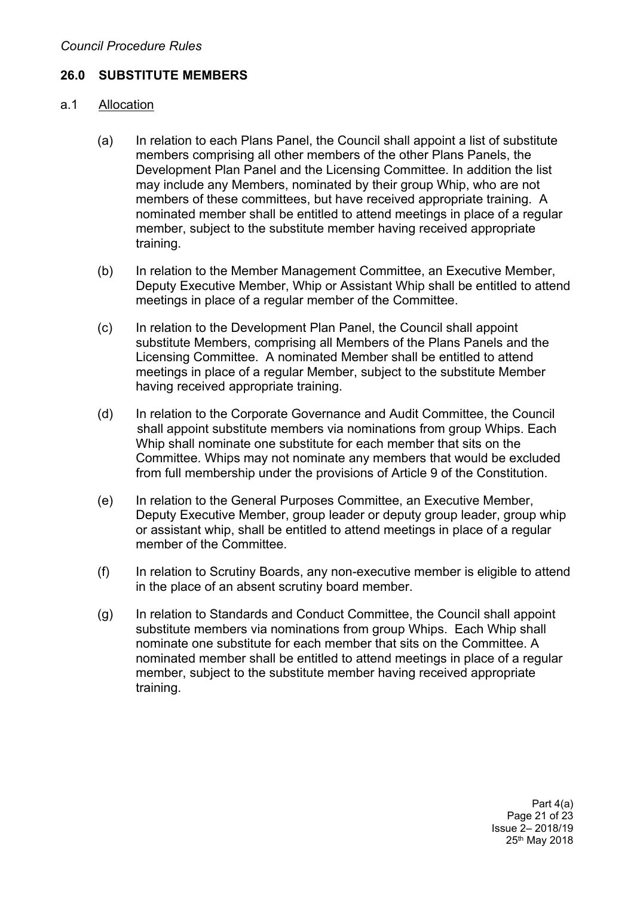### **26.0 SUBSTITUTE MEMBERS**

#### a.1 Allocation

- (a) In relation to each Plans Panel, the Council shall appoint a list of substitute members comprising all other members of the other Plans Panels, the Development Plan Panel and the Licensing Committee. In addition the list may include any Members, nominated by their group Whip, who are not members of these committees, but have received appropriate training. A nominated member shall be entitled to attend meetings in place of a regular member, subject to the substitute member having received appropriate training.
- (b) In relation to the Member Management Committee, an Executive Member, Deputy Executive Member, Whip or Assistant Whip shall be entitled to attend meetings in place of a regular member of the Committee.
- (c) In relation to the Development Plan Panel, the Council shall appoint substitute Members, comprising all Members of the Plans Panels and the Licensing Committee. A nominated Member shall be entitled to attend meetings in place of a regular Member, subject to the substitute Member having received appropriate training.
- (d) In relation to the Corporate Governance and Audit Committee, the Council shall appoint substitute members via nominations from group Whips. Each Whip shall nominate one substitute for each member that sits on the Committee. Whips may not nominate any members that would be excluded from full membership under the provisions of Article 9 of the Constitution.
- (e) In relation to the General Purposes Committee, an Executive Member, Deputy Executive Member, group leader or deputy group leader, group whip or assistant whip, shall be entitled to attend meetings in place of a regular member of the Committee.
- (f) In relation to Scrutiny Boards, any non-executive member is eligible to attend in the place of an absent scrutiny board member.
- (g) In relation to Standards and Conduct Committee, the Council shall appoint substitute members via nominations from group Whips. Each Whip shall nominate one substitute for each member that sits on the Committee. A nominated member shall be entitled to attend meetings in place of a regular member, subject to the substitute member having received appropriate training.

Part 4(a) Page 21 of 23 Issue 2– 2018/19 25th May 2018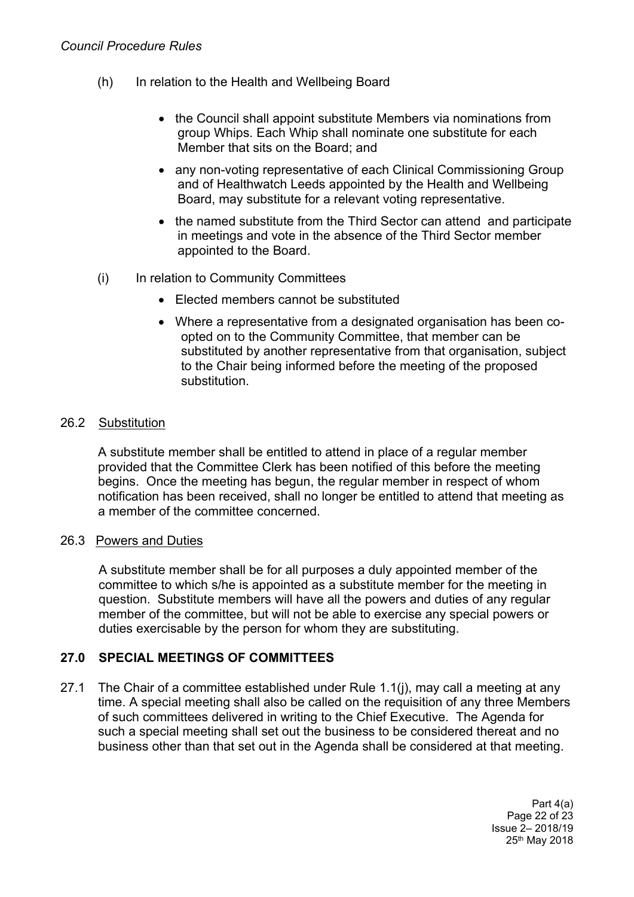- (h) In relation to the Health and Wellbeing Board
	- the Council shall appoint substitute Members via nominations from group Whips. Each Whip shall nominate one substitute for each Member that sits on the Board; and
	- any non-voting representative of each Clinical Commissioning Group and of Healthwatch Leeds appointed by the Health and Wellbeing Board, may substitute for a relevant voting representative.
	- the named substitute from the Third Sector can attend and participate in meetings and vote in the absence of the Third Sector member appointed to the Board.
- (i) In relation to Community Committees
	- Elected members cannot be substituted
	- Where a representative from a designated organisation has been coopted on to the Community Committee, that member can be substituted by another representative from that organisation, subject to the Chair being informed before the meeting of the proposed substitution.

### 26.2 Substitution

A substitute member shall be entitled to attend in place of a regular member provided that the Committee Clerk has been notified of this before the meeting begins. Once the meeting has begun, the regular member in respect of whom notification has been received, shall no longer be entitled to attend that meeting as a member of the committee concerned.

### 26.3 Powers and Duties

A substitute member shall be for all purposes a duly appointed member of the committee to which s/he is appointed as a substitute member for the meeting in question. Substitute members will have all the powers and duties of any regular member of the committee, but will not be able to exercise any special powers or duties exercisable by the person for whom they are substituting.

## **27.0 SPECIAL MEETINGS OF COMMITTEES**

27.1 The Chair of a committee established under Rule 1.1(j), may call a meeting at any time. A special meeting shall also be called on the requisition of any three Members of such committees delivered in writing to the Chief Executive. The Agenda for such a special meeting shall set out the business to be considered thereat and no business other than that set out in the Agenda shall be considered at that meeting.

> Part 4(a) Page 22 of 23 Issue 2– 2018/19 25th May 2018